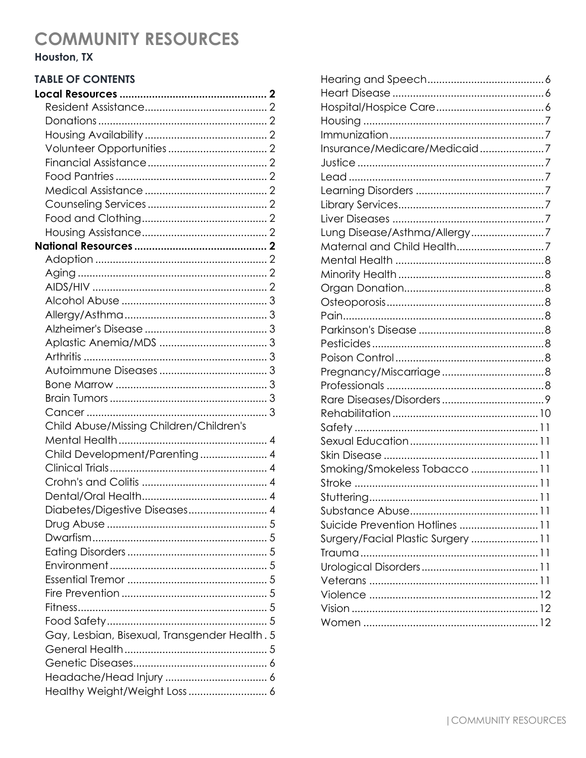# Houston, TX

## **TABLE OF CONTENTS**

| Child Abuse/Missing Children/Children's       |  |
|-----------------------------------------------|--|
|                                               |  |
| Child Development/Parenting 4                 |  |
|                                               |  |
|                                               |  |
|                                               |  |
| Diabetes/Digestive Diseases 4                 |  |
|                                               |  |
|                                               |  |
|                                               |  |
|                                               |  |
|                                               |  |
|                                               |  |
|                                               |  |
|                                               |  |
| Gay, Lesbian, Bisexual, Transgender Health. 5 |  |
|                                               |  |
|                                               |  |
|                                               |  |
| Healthy Weight/Weight Loss  6                 |  |

| Insurance/Medicare/Medicaid7       |  |
|------------------------------------|--|
|                                    |  |
|                                    |  |
|                                    |  |
|                                    |  |
|                                    |  |
| Lung Disease/Asthma/Allergy7       |  |
|                                    |  |
|                                    |  |
|                                    |  |
|                                    |  |
|                                    |  |
|                                    |  |
|                                    |  |
|                                    |  |
|                                    |  |
|                                    |  |
|                                    |  |
|                                    |  |
|                                    |  |
|                                    |  |
|                                    |  |
|                                    |  |
| Smoking/Smokeless Tobacco 11       |  |
|                                    |  |
|                                    |  |
|                                    |  |
| Suicide Prevention Hotlines  11    |  |
| Surgery/Facial Plastic Surgery  11 |  |
|                                    |  |
|                                    |  |
|                                    |  |
|                                    |  |
|                                    |  |
|                                    |  |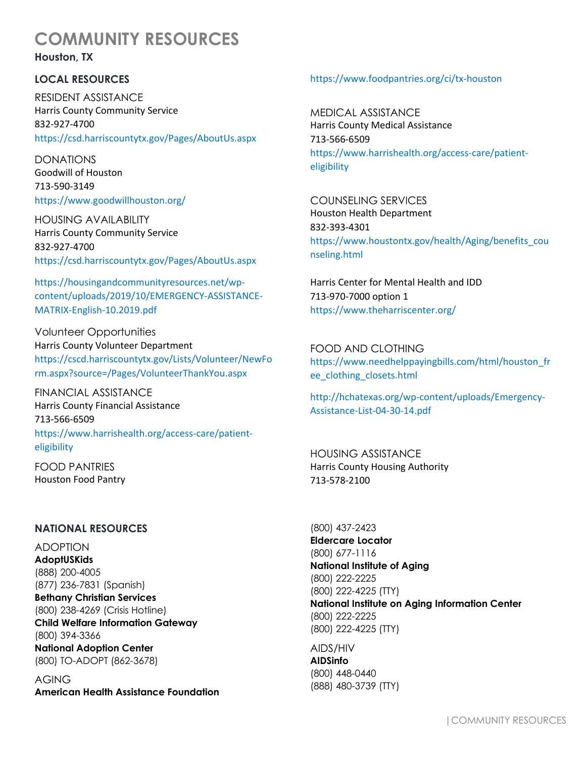**Houston, TX**

## **LOCAL RESOURCES**

RESIDENT ASSISTANCE Harris County Community Service 832-927-4700 https://csd.harriscountytx.gov/Pages/AboutUs.aspx

DONATIONS Goodwill of Houston 713-590-3149 https://www.goodwillhouston.org/

HOUSING AVAILABILITY Harris County Community Service 832-927-4700 https://csd.harriscountytx.gov/Pages/AboutUs.aspx

https://housingandcommunityresources.net/wpcontent/uploads/2019/10/EMERGENCY-ASSISTANCE-MATRIX-English-10.2019.pdf

Volunteer Opportunities Harris County Volunteer Department https://cscd.harriscountytx.gov/Lists/Volunteer/NewFo rm.aspx?source=/Pages/VolunteerThankYou.aspx

FINANCIAL ASSISTANCE Harris County Financial Assistance 713-566-6509 https://www.harrishealth.org/access-care/patienteligibility

FOOD PANTRIES Houston Food Pantry

#### **NATIONAL RESOURCES**

ADOPTION **AdoptUSKids** (888) 200-4005 (877) 236-7831 (Spanish) **Bethany Christian Services** (800) 238-4269 (Crisis Hotline) **Child Welfare Information Gateway** (800) 394-3366 **National Adoption Center** (800) TO-ADOPT (862-3678)

AGING **American Health Assistance Foundation**

#### https://www.foodpantries.org/ci/tx-houston

MEDICAL ASSISTANCE Harris County Medical Assistance 713-566-6509 https://www.harrishealth.org/access-care/patienteligibility

COUNSELING SERVICES Houston Health Department 832-393-4301 https://www.houstontx.gov/health/Aging/benefits\_cou nseling.html

Harris Center for Mental Health and IDD 713-970-7000 option 1 https://www.theharriscenter.org/

FOOD AND CLOTHING https://www.needhelppayingbills.com/html/houston\_fr ee\_clothing\_closets.html

http://hchatexas.org/wp-content/uploads/Emergency-Assistance-List-04-30-14.pdf

HOUSING ASSISTANCE Harris County Housing Authority 713-578-2100

(800) 437-2423 **Eldercare Locator**  (800) 677-1116 **National Institute of Aging** (800) 222-2225 (800) 222-4225 (TTY) **National Institute on Aging Information Center**  (800) 222-2225 (800) 222-4225 (TTY)

AIDS/HIV **AIDSinfo** (800) 448-0440 (888) 480-3739 (TTY)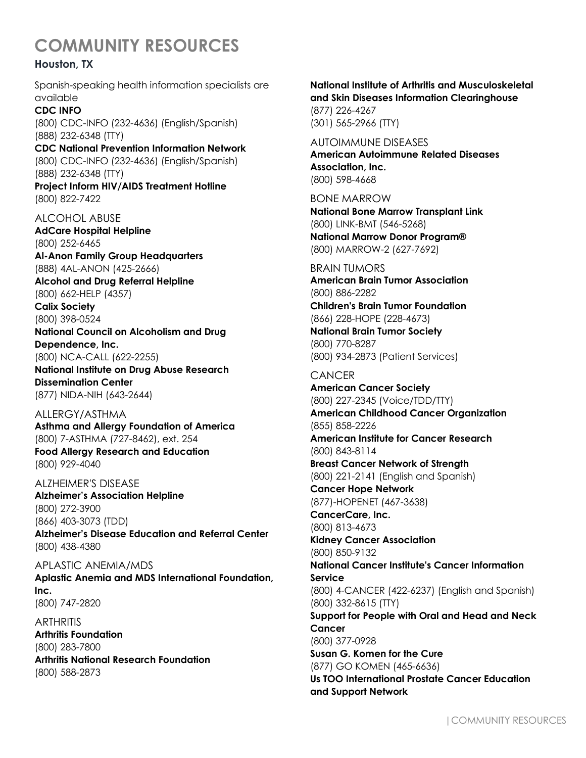## **Houston, TX**

Spanish-speaking health information specialists are available

## **CDC INFO**

(800) CDC-INFO (232-4636) (English/Spanish) (888) 232-6348 (TTY)

**CDC National Prevention Information Network** (800) CDC-INFO (232-4636) (English/Spanish) (888) 232-6348 (TTY)

**Project Inform HIV/AIDS Treatment Hotline** (800) 822-7422

## ALCOHOL ABUSE

**AdCare Hospital Helpline** (800) 252-6465 **Al-Anon Family Group Headquarters** (888) 4AL-ANON (425-2666)

**Alcohol and Drug Referral Helpline** (800) 662-HELP (4357)

**Calix Society** (800) 398-0524

**National Council on Alcoholism and Drug Dependence, Inc.**  (800) NCA-CALL (622-2255)

**National Institute on Drug Abuse Research Dissemination Center** (877) NIDA-NIH (643-2644)

## ALLERGY/ASTHMA

**Asthma and Allergy Foundation of America** (800) 7-ASTHMA (727-8462), ext. 254 **Food Allergy Research and Education** (800) 929-4040

ALZHEIMER'S DISEASE **Alzheimer's Association Helpline** (800) 272-3900 (866) 403-3073 (TDD) **Alzheimer's Disease Education and Referral Center** (800) 438-4380

APLASTIC ANEMIA/MDS **Aplastic Anemia and MDS International Foundation, Inc.** (800) 747-2820

**ARTHRITIS Arthritis Foundation** (800) 283-7800 **Arthritis National Research Foundation** (800) 588-2873

# **National Institute of Arthritis and Musculoskeletal and Skin Diseases Information Clearinghouse**

(877) 226-4267 (301) 565-2966 (TTY)

AUTOIMMUNE DISEASES **American Autoimmune Related Diseases Association, Inc.** (800) 598-4668

BONE MARROW **National Bone Marrow Transplant Link** (800) LINK-BMT (546-5268) **National Marrow Donor Program®** (800) MARROW-2 (627-7692)

### BRAIN TUMORS

**American Brain Tumor Association** (800) 886-2282

**Children's Brain Tumor Foundation**  (866) 228-HOPE (228-4673)

**National Brain Tumor Society** (800) 770-8287 (800) 934-2873 (Patient Services)

# **CANCER**

**American Cancer Society** (800) 227-2345 (Voice/TDD/TTY) **American Childhood Cancer Organization** (855) 858-2226 **American Institute for Cancer Research** (800) 843-8114 **Breast Cancer Network of Strength** (800) 221-2141 (English and Spanish) **Cancer Hope Network**  (877)-HOPENET (467-3638) **CancerCare, Inc.**  (800) 813-4673 **Kidney Cancer Association**  (800) 850-9132 **National Cancer Institute's Cancer Information Service**  (800) 4-CANCER (422-6237) (English and Spanish) (800) 332-8615 (TTY) **Support for People with Oral and Head and Neck Cancer** (800) 377-0928 **Susan G. Komen for the Cure**  (877) GO KOMEN (465-6636)

**Us TOO International Prostate Cancer Education and Support Network**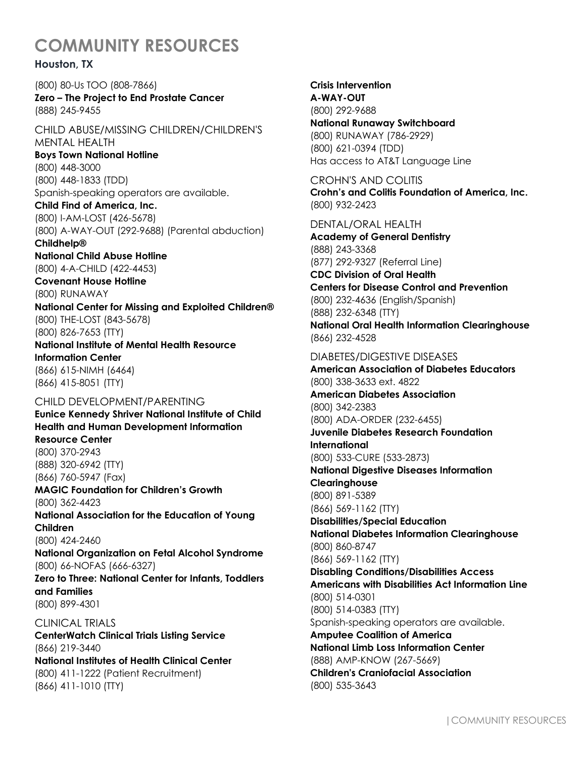## **Houston, TX**

(800) 80-Us TOO (808-7866) **Zero – The Project to End Prostate Cancer** (888) 245-9455

CHILD ABUSE/MISSING CHILDREN/CHILDREN'S MENTAL HEALTH

**Boys Town National Hotline**  (800) 448-3000 (800) 448-1833 (TDD) Spanish-speaking operators are available.

**Child Find of America, Inc.** (800) I-AM-LOST (426-5678) (800) A-WAY-OUT (292-9688) (Parental abduction) **Childhelp®** 

**National Child Abuse Hotline** (800) 4-A-CHILD (422-4453)

**Covenant House Hotline**  (800) RUNAWAY

**National Center for Missing and Exploited Children®**  (800) THE-LOST (843-5678) (800) 826-7653 (TTY) **National Institute of Mental Health Resource** 

**Information Center**  (866) 615-NIMH (6464) (866) 415-8051 (TTY)

CHILD DEVELOPMENT/PARENTING **Eunice Kennedy Shriver National Institute of Child Health and Human Development Information Resource Center** (800) 370-2943 (888) 320-6942 (TTY) (866) 760-5947 (Fax) **MAGIC Foundation for Children's Growth**  (800) 362-4423 **National Association for the Education of Young Children**  (800) 424-2460 **National Organization on Fetal Alcohol Syndrome**  (800) 66-NOFAS (666-6327)

**Zero to Three: National Center for Infants, Toddlers and Families**  (800) 899-4301

CLINICAL TRIALS **CenterWatch Clinical Trials Listing Service** (866) 219-3440 **National Institutes of Health Clinical Center** (800) 411-1222 (Patient Recruitment) (866) 411-1010 (TTY)

**Crisis Intervention A-WAY-OUT** (800) 292-9688

**National Runaway Switchboard**  (800) RUNAWAY (786-2929) (800) 621-0394 (TDD) Has access to AT&T Language Line

CROHN'S AND COLITIS **Crohn's and Colitis Foundation of America, Inc.**  (800) 932-2423

DENTAL/ORAL HEALTH **Academy of General Dentistry** (888) 243-3368 (877) 292-9327 (Referral Line) **CDC Division of Oral Health Centers for Disease Control and Prevention** (800) 232-4636 (English/Spanish) (888) 232-6348 (TTY) **National Oral Health Information Clearinghouse** (866) 232-4528

DIABETES/DIGESTIVE DISEASES **American Association of Diabetes Educators** (800) 338-3633 ext. 4822 **American Diabetes Association**  (800) 342-2383 (800) ADA-ORDER (232-6455) **Juvenile Diabetes Research Foundation International** (800) 533-CURE (533-2873) **National Digestive Diseases Information Clearinghouse** (800) 891-5389 (866) 569-1162 (TTY) **Disabilities/Special Education National Diabetes Information Clearinghouse** (800) 860-8747 (866) 569-1162 (TTY) **Disabling Conditions/Disabilities Access Americans with Disabilities Act Information Line** (800) 514-0301 (800) 514-0383 (TTY) Spanish-speaking operators are available. **Amputee Coalition of America National Limb Loss Information Center** (888) AMP-KNOW (267-5669) **Children's Craniofacial Association**  (800) 535-3643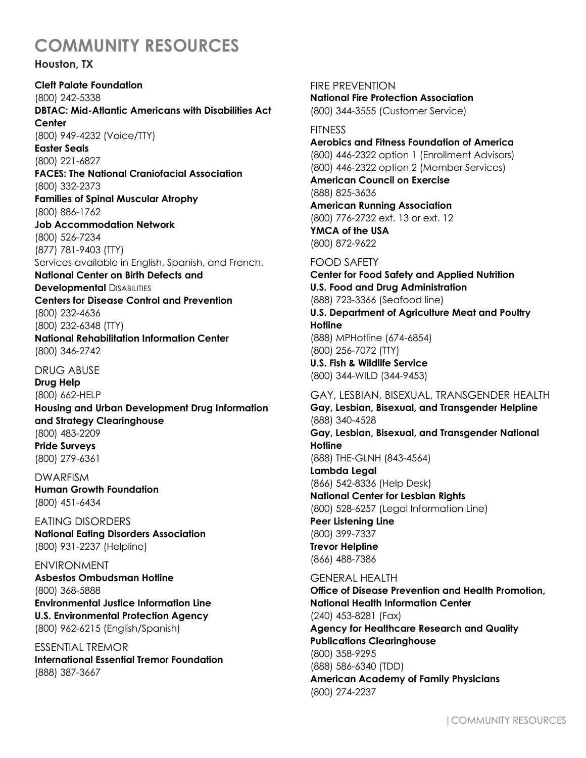### **Houston, TX**

**Cleft Palate Foundation** (800) 242-5338 **DBTAC: Mid-Atlantic Americans with Disabilities Act Center**  (800) 949-4232 (Voice/TTY) **Easter Seals**  (800) 221-6827 **FACES: The National Craniofacial Association**  (800) 332-2373 **Families of Spinal Muscular Atrophy**  (800) 886-1762 **Job Accommodation Network**  (800) 526-7234 (877) 781-9403 (TTY) Services available in English, Spanish, and French. **National Center on Birth Defects and Developmental DISABILITIES Centers for Disease Control and Prevention** (800) 232-4636 (800) 232-6348 (TTY) **National Rehabilitation Information Center** (800) 346-2742 DRUG ABUSE **Drug Help** (800) 662-HELP **Housing and Urban Development Drug Information and Strategy Clearinghouse**  (800) 483-2209 **Pride Surveys**  (800) 279-6361 DWARFISM **Human Growth Foundation**  (800) 451-6434 EATING DISORDERS **National Eating Disorders Association** (800) 931-2237 (Helpline) ENVIRONMENT **Asbestos Ombudsman Hotline** (800) 368-5888 **Environmental Justice Information Line U.S. Environmental Protection Agency** (800) 962-6215 (English/Spanish) ESSENTIAL TREMOR **International Essential Tremor Foundation** (888) 387-3667

FIRE PREVENTION **National Fire Protection Association**  (800) 344-3555 (Customer Service)

#### **FITNESS**

**Aerobics and Fitness Foundation of America** (800) 446-2322 option 1 (Enrollment Advisors) (800) 446-2322 option 2 (Member Services)

**American Council on Exercise** (888) 825-3636 **American Running Association**

(800) 776-2732 ext. 13 or ext. 12 **YMCA of the USA** (800) 872-9622

## FOOD SAFETY

**Center for Food Safety and Applied Nutrition U.S. Food and Drug Administration** (888) 723-3366 (Seafood line) **U.S. Department of Agriculture Meat and Poultry Hotline** (888) MPHotline (674-6854) (800) 256-7072 (TTY) **U.S. Fish & Wildlife Service** (800) 344-WILD (344-9453) GAY, LESBIAN, BISEXUAL, TRANSGENDER HEALTH **Gay, Lesbian, Bisexual, and Transgender Helpline** (888) 340-4528 **Gay, Lesbian, Bisexual, and Transgender National Hotline**  (888) THE-GLNH (843-4564) **Lambda Legal** (866) 542-8336 (Help Desk) **National Center for Lesbian Rights** (800) 528-6257 (Legal Information Line) **Peer Listening Line** (800) 399-7337 **Trevor Helpline** (866) 488-7386 GENERAL HEALTH **Office of Disease Prevention and Health Promotion, National Health Information Center** 

(240) 453-8281 (Fax)

**Agency for Healthcare Research and Quality Publications Clearinghouse**

(800) 358-9295 (888) 586-6340 (TDD)

**American Academy of Family Physicians** (800) 274-2237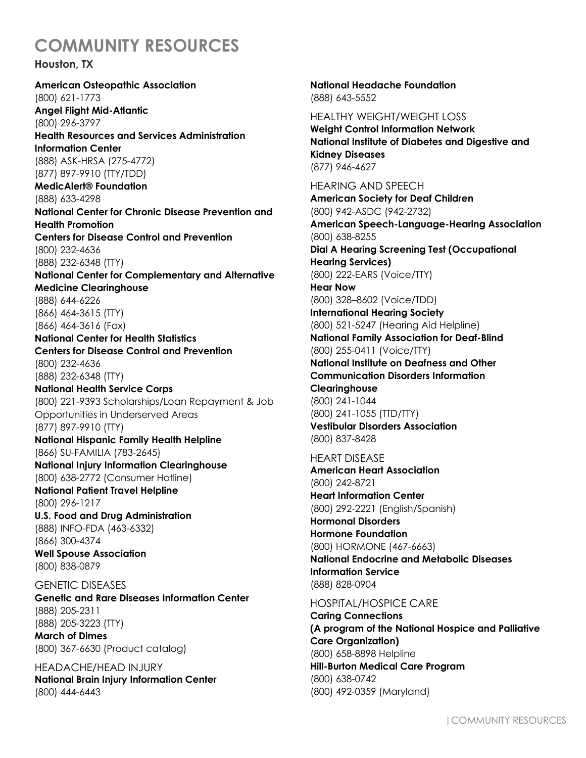### **Houston, TX**

**American Osteopathic Association** (800) 621-1773 **Angel Flight Mid-Atlantic** (800) 296-3797 **Health Resources and Services Administration Information Center** (888) ASK-HRSA (275-4772) (877) 897-9910 (TTY/TDD) **MedicAlert® Foundation** (888) 633-4298 **National Center for Chronic Disease Prevention and Health Promotion Centers for Disease Control and Prevention** (800) 232-4636 (888) 232-6348 (TTY) **National Center for Complementary and Alternative Medicine Clearinghouse** (888) 644-6226 (866) 464-3615 (TTY) (866) 464-3616 (Fax) **National Center for Health Statistics Centers for Disease Control and Prevention** (800) 232-4636 (888) 232-6348 (TTY) **National Health Service Corps** (800) 221-9393 Scholarships/Loan Repayment & Job Opportunities in Underserved Areas (877) 897-9910 (TTY) **National Hispanic Family Health Helpline** (866) SU-FAMILIA (783-2645) **National Injury Information Clearinghouse** (800) 638-2772 (Consumer Hotline) **National Patient Travel Helpline** (800) 296-1217 **U.S. Food and Drug Administration** (888) INFO-FDA (463-6332) (866) 300-4374 **Well Spouse Association**  (800) 838-0879 GENETIC DISEASES **Genetic and Rare Diseases Information Center** (888) 205-2311 (888) 205-3223 (TTY) **March of Dimes**

(800) 367-6630 (Product catalog) HEADACHE/HEAD INJURY **National Brain Injury Information Center** 

(800) 444-6443

**National Headache Foundation** (888) 643-5552

HEALTHY WEIGHT/WEIGHT LOSS **Weight Control Information Network National Institute of Diabetes and Digestive and Kidney Diseases** (877) 946-4627

HEARING AND SPEECH **American Society for Deaf Children** (800) 942-ASDC (942-2732) **American Speech-Language-Hearing Association** (800) 638-8255 **Dial A Hearing Screening Test (Occupational Hearing Services)** (800) 222-EARS (Voice/TTY) **Hear Now** (800) 328–8602 (Voice/TDD) **International Hearing Society** (800) 521-5247 (Hearing Aid Helpline) **National Family Association for Deaf-Blind** (800) 255-0411 (Voice/TTY) **National Institute on Deafness and Other Communication Disorders Information Clearinghouse** (800) 241-1044 (800) 241-1055 (TTD/TTY) **Vestibular Disorders Association** (800) 837-8428 HEART DISEASE **American Heart Association**

(800) 242-8721 **Heart Information Center**  (800) 292-2221 (English/Spanish) **Hormonal Disorders**

**Hormone Foundation** (800) HORMONE (467-6663) **National Endocrine and Metabolic Diseases Information Service** (888) 828-0904

#### HOSPITAL/HOSPICE CARE

**Caring Connections (A program of the National Hospice and Palliative Care Organization)** (800) 658-8898 Helpline **Hill-Burton Medical Care Program**  (800) 638-0742 (800) 492-0359 (Maryland)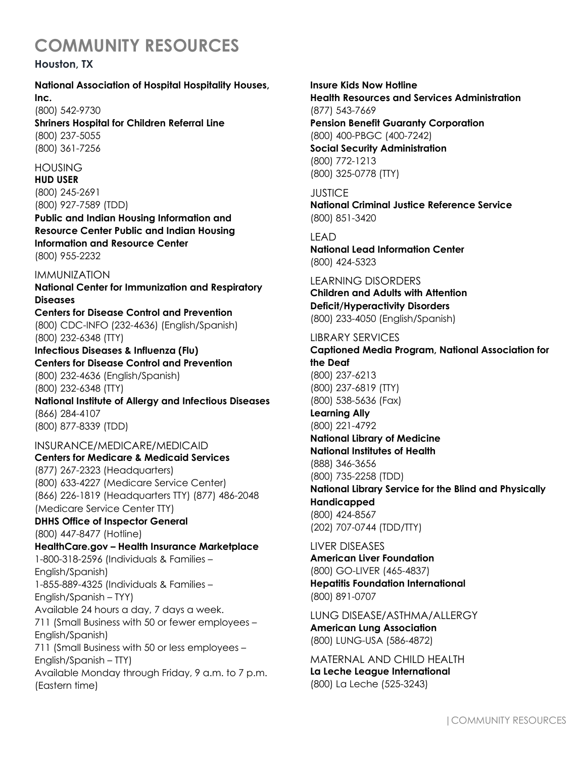## **Houston, TX**

#### **National Association of Hospital Hospitality Houses, Inc.**

### (800) 542-9730

**Shriners Hospital for Children Referral Line** (800) 237-5055 (800) 361-7256

### HOUSING

**HUD USER** (800) 245-2691 (800) 927-7589 (TDD)

**Public and Indian Housing Information and Resource Center Public and Indian Housing Information and Resource Center** (800) 955-2232

#### IMMUNIZATION

**National Center for Immunization and Respiratory Diseases**

**Centers for Disease Control and Prevention** (800) CDC-INFO (232-4636) (English/Spanish) (800) 232-6348 (TTY)

**Infectious Diseases & Influenza (Flu) Centers for Disease Control and Prevention** (800) 232-4636 (English/Spanish) (800) 232-6348 (TTY)

**National Institute of Allergy and Infectious Diseases** (866) 284-4107 (800) 877-8339 (TDD)

### INSURANCE/MEDICARE/MEDICAID

**Centers for Medicare & Medicaid Services**

(877) 267-2323 (Headquarters) (800) 633-4227 (Medicare Service Center) (866) 226-1819 (Headquarters TTY) (877) 486-2048 (Medicare Service Center TTY)

#### **DHHS Office of Inspector General** (800) 447-8477 (Hotline)

**HealthCare.gov – Health Insurance Marketplace** 1-800-318-2596 (Individuals & Families – English/Spanish) 1-855-889-4325 (Individuals & Families – English/Spanish – TYY) Available 24 hours a day, 7 days a week. 711 (Small Business with 50 or fewer employees – English/Spanish) 711 (Small Business with 50 or less employees – English/Spanish – TTY) Available Monday through Friday, 9 a.m. to 7 p.m. (Eastern time)

#### **Insure Kids Now Hotline**

**Health Resources and Services Administration** (877) 543-7669

**Pension Benefit Guaranty Corporation** (800) 400-PBGC (400-7242) **Social Security Administration**

(800) 772-1213 (800) 325-0778 (TTY)

# **JUSTICE**

**National Criminal Justice Reference Service** (800) 851-3420

## **LEAD**

**National Lead Information Center** (800) 424-5323

LEARNING DISORDERS **Children and Adults with Attention Deficit/Hyperactivity Disorders** (800) 233-4050 (English/Spanish)

### LIBRARY SERVICES **Captioned Media Program, National Association for the Deaf** (800) 237-6213 (800) 237-6819 (TTY) (800) 538-5636 (Fax) **Learning Ally** (800) 221-4792 **National Library of Medicine National Institutes of Health** (888) 346-3656 (800) 735-2258 (TDD) **National Library Service for the Blind and Physically Handicapped** (800) 424-8567

(202) 707-0744 (TDD/TTY)

### LIVER DISEASES

**American Liver Foundation** (800) GO-LIVER (465-4837) **Hepatitis Foundation International** (800) 891-0707

LUNG DISEASE/ASTHMA/ALLERGY **American Lung Association** (800) LUNG-USA (586-4872)

MATERNAL AND CHILD HEALTH **La Leche League International** (800) La Leche (525-3243)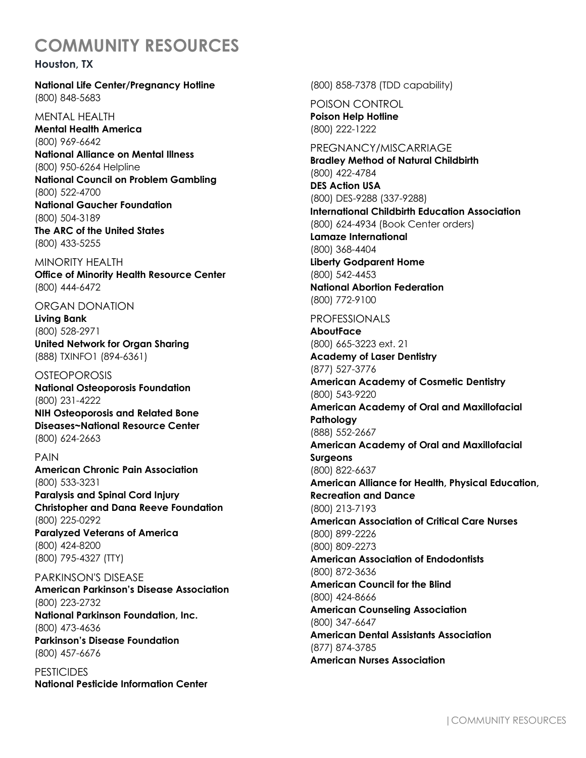#### **Houston, TX**

**National Life Center/Pregnancy Hotline** (800) 848-5683

MENTAL HEALTH **Mental Health America**  (800) 969-6642 **National Alliance on Mental Illness** (800) 950-6264 Helpline **National Council on Problem Gambling** (800) 522-4700 **National Gaucher Foundation** (800) 504-3189 **The ARC of the United States** (800) 433-5255

MINORITY HEALTH **Office of Minority Health Resource Center** (800) 444-6472

ORGAN DONATION **Living Bank** (800) 528-2971 **United Network for Organ Sharing** (888) TXINFO1 (894-6361)

**OSTEOPOROSIS National Osteoporosis Foundation** (800) 231-4222 **NIH Osteoporosis and Related Bone Diseases~National Resource Center** (800) 624-2663

PAIN **American Chronic Pain Association** (800) 533-3231 **Paralysis and Spinal Cord Injury Christopher and Dana Reeve Foundation**  (800) 225-0292 **Paralyzed Veterans of America**

(800) 424-8200 (800) 795-4327 (TTY) PARKINSON'S DISEASE

**American Parkinson's Disease Association** (800) 223-2732 **National Parkinson Foundation, Inc.** (800) 473-4636 **Parkinson's Disease Foundation** (800) 457-6676

**PESTICIDES National Pesticide Information Center** (800) 858-7378 (TDD capability)

POISON CONTROL **Poison Help Hotline** (800) 222-1222

PREGNANCY/MISCARRIAGE **Bradley Method of Natural Childbirth** (800) 422-4784 **DES Action USA** (800) DES-9288 (337-9288) **International Childbirth Education Association** (800) 624-4934 (Book Center orders) **Lamaze International** (800) 368-4404 **Liberty Godparent Home** (800) 542-4453 **National Abortion Federation** (800) 772-9100

PROFESSIONALS

**AboutFace** (800) 665-3223 ext. 21 **Academy of Laser Dentistry** (877) 527-3776 **American Academy of Cosmetic Dentistry** (800) 543-9220 **American Academy of Oral and Maxillofacial Pathology** (888) 552-2667 **American Academy of Oral and Maxillofacial Surgeons** (800) 822-6637 **American Alliance for Health, Physical Education, Recreation and Dance** (800) 213-7193 **American Association of Critical Care Nurses** (800) 899-2226 (800) 809-2273 **American Association of Endodontists** (800) 872-3636 **American Council for the Blind** (800) 424-8666 **American Counseling Association**  (800) 347-6647 **American Dental Assistants Association** (877) 874-3785

**American Nurses Association**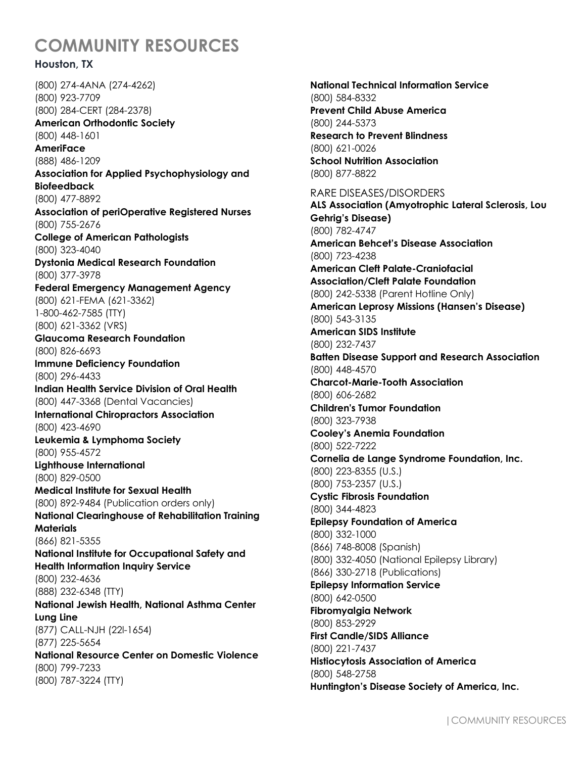## **Houston, TX**

(800) 274-4ANA (274-4262) (800) 923-7709 (800) 284-CERT (284-2378) **American Orthodontic Society** (800) 448-1601 **AmeriFace** (888) 486-1209 **Association for Applied Psychophysiology and Biofeedback** (800) 477-8892 **Association of periOperative Registered Nurses** (800) 755-2676 **College of American Pathologists** (800) 323-4040 **Dystonia Medical Research Foundation** (800) 377-3978 **Federal Emergency Management Agency** (800) 621-FEMA (621-3362) 1-800-462-7585 (TTY) (800) 621-3362 (VRS) **Glaucoma Research Foundation** (800) 826-6693 **Immune Deficiency Foundation** (800) 296-4433 **Indian Health Service Division of Oral Health** (800) 447-3368 (Dental Vacancies) **International Chiropractors Association** (800) 423-4690 **Leukemia & Lymphoma Society** (800) 955-4572 **Lighthouse International** (800) 829-0500 **Medical Institute for Sexual Health** (800) 892-9484 (Publication orders only) **National Clearinghouse of Rehabilitation Training Materials** (866) 821-5355 **National Institute for Occupational Safety and Health Information Inquiry Service** (800) 232-4636 (888) 232-6348 (TTY) **National Jewish Health, National Asthma Center Lung Line** (877) CALL-NJH (22l-1654) (877) 225-5654 **National Resource Center on Domestic Violence** (800) 799-7233 (800) 787-3224 (TTY)

**National Technical Information Service** (800) 584-8332 **Prevent Child Abuse America** (800) 244-5373 **Research to Prevent Blindness**  (800) 621-0026 **School Nutrition Association** (800) 877-8822 RARE DISEASES/DISORDERS **ALS Association (Amyotrophic Lateral Sclerosis, Lou Gehrig's Disease)** (800) 782-4747 **American Behcet's Disease Association** (800) 723-4238 **American Cleft Palate-Craniofacial Association/Cleft Palate Foundation** (800) 242-5338 (Parent Hotline Only) **American Leprosy Missions (Hansen's Disease)** (800) 543-3135 **American SIDS Institute** (800) 232-7437 **Batten Disease Support and Research Association** (800) 448-4570 **Charcot-Marie-Tooth Association** (800) 606-2682 **Children's Tumor Foundation** (800) 323-7938 **Cooley's Anemia Foundation** (800) 522-7222 **Cornelia de Lange Syndrome Foundation, Inc.** (800) 223-8355 (U.S.) (800) 753-2357 (U.S.) **Cystic Fibrosis Foundation** (800) 344-4823 **Epilepsy Foundation of America** (800) 332-1000 (866) 748-8008 (Spanish) (800) 332-4050 (National Epilepsy Library) (866) 330-2718 (Publications) **Epilepsy Information Service** (800) 642-0500 **Fibromyalgia Network** (800) 853-2929 **First Candle/SIDS Alliance** (800) 221-7437 **Histiocytosis Association of America** (800) 548-2758 **Huntington's Disease Society of America, Inc.**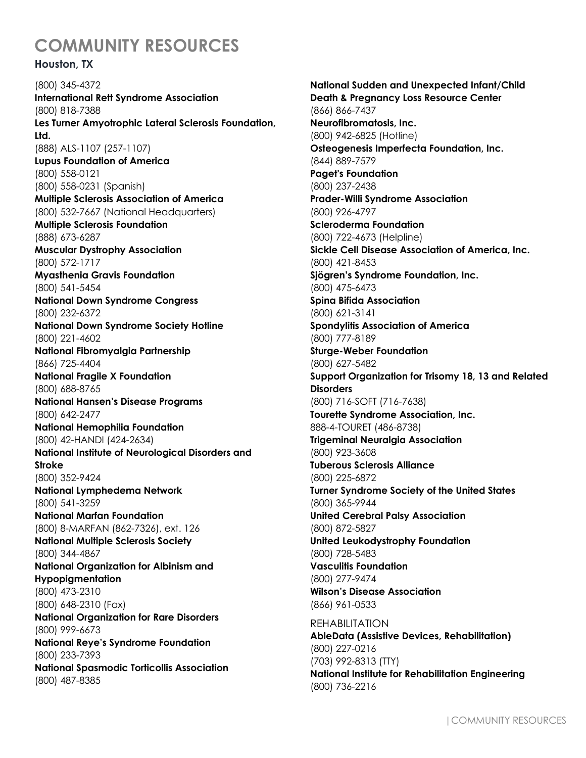### **Houston, TX**

(800) 345-4372 **International Rett Syndrome Association** (800) 818-7388 **Les Turner Amyotrophic Lateral Sclerosis Foundation, Ltd.** (888) ALS-1107 (257-1107) **Lupus Foundation of America** (800) 558-0121 (800) 558-0231 (Spanish) **Multiple Sclerosis Association of America** (800) 532-7667 (National Headquarters) **Multiple Sclerosis Foundation** (888) 673-6287 **Muscular Dystrophy Association** (800) 572-1717 **Myasthenia Gravis Foundation** (800) 541-5454 **National Down Syndrome Congress** (800) 232-6372 **National Down Syndrome Society Hotline** (800) 221-4602 **National Fibromyalgia Partnership** (866) 725-4404 **National Fragile X Foundation** (800) 688-8765 **National Hansen's Disease Programs** (800) 642-2477 **National Hemophilia Foundation** (800) 42-HANDI (424-2634) **National Institute of Neurological Disorders and Stroke** (800) 352-9424 **National Lymphedema Network** (800) 541-3259 **National Marfan Foundation** (800) 8-MARFAN (862-7326), ext. 126 **National Multiple Sclerosis Society** (800) 344-4867 **National Organization for Albinism and Hypopigmentation** (800) 473-2310 (800) 648-2310 (Fax) **National Organization for Rare Disorders** (800) 999-6673 **National Reye's Syndrome Foundation** (800) 233-7393 **National Spasmodic Torticollis Association** (800) 487-8385

**National Sudden and Unexpected Infant/Child Death & Pregnancy Loss Resource Center** (866) 866-7437 **Neurofibromatosis, Inc.** (800) 942-6825 (Hotline) **Osteogenesis Imperfecta Foundation, Inc.** (844) 889-7579 **Paget's Foundation** (800) 237-2438 **Prader-Willi Syndrome Association** (800) 926-4797 **Scleroderma Foundation** (800) 722-4673 (Helpline) **Sickle Cell Disease Association of America, Inc.** (800) 421-8453 **Sjögren's Syndrome Foundation, Inc.** (800) 475-6473 **Spina Bifida Association** (800) 621-3141 **Spondylitis Association of America** (800) 777-8189 **Sturge-Weber Foundation** (800) 627-5482 **Support Organization for Trisomy 18, 13 and Related Disorders** (800) 716-SOFT (716-7638) **Tourette Syndrome Association, Inc.** 888-4-TOURET (486-8738) **Trigeminal Neuralgia Association** (800) 923-3608 **Tuberous Sclerosis Alliance** (800) 225-6872 **Turner Syndrome Society of the United States** (800) 365-9944 **United Cerebral Palsy Association** (800) 872-5827 **United Leukodystrophy Foundation** (800) 728-5483 **Vasculitis Foundation** (800) 277-9474 **Wilson's Disease Association** (866) 961-0533 REHABILITATION **AbleData (Assistive Devices, Rehabilitation)** (800) 227-0216 (703) 992-8313 (TTY) **National Institute for Rehabilitation Engineering**

(800) 736-2216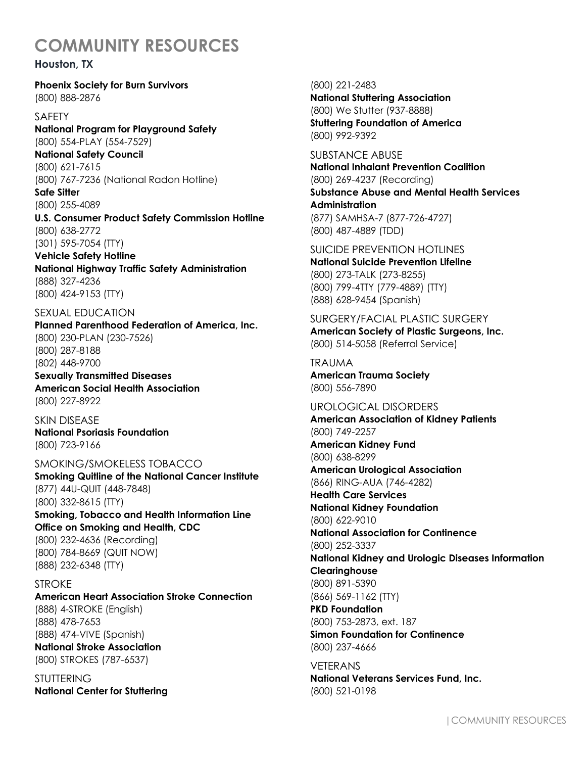#### **Houston, TX**

**Phoenix Society for Burn Survivors** (800) 888-2876

SAFETY

**National Program for Playground Safety** (800) 554-PLAY (554-7529) **National Safety Council**

(800) 621-7615 (800) 767-7236 (National Radon Hotline)

**Safe Sitter** (800) 255-4089

**U.S. Consumer Product Safety Commission Hotline**  (800) 638-2772 (301) 595-7054 (TTY)

**Vehicle Safety Hotline National Highway Traffic Safety Administration** (888) 327-4236 (800) 424-9153 (TTY)

SEXUAL EDUCATION

**Planned Parenthood Federation of America, Inc.**  (800) 230-PLAN (230-7526) (800) 287-8188 (802) 448-9700 **Sexually Transmitted Diseases**

**American Social Health Association** (800) 227-8922

SKIN DISEASE **National Psoriasis Foundation** (800) 723-9166

SMOKING/SMOKELESS TOBACCO **Smoking Quitline of the National Cancer Institute** (877) 44U-QUIT (448-7848) (800) 332-8615 (TTY) **Smoking, Tobacco and Health Information Line Office on Smoking and Health, CDC**

(800) 232-4636 (Recording) (800) 784-8669 (QUIT NOW) (888) 232-6348 (TTY)

**STROKE American Heart Association Stroke Connection** (888) 4-STROKE (English) (888) 478-7653 (888) 474-VIVE (Spanish) **National Stroke Association** (800) STROKES (787-6537)

STUTTERING **National Center for Stuttering** (800) 221-2483 **National Stuttering Association** (800) We Stutter (937-8888) **Stuttering Foundation of America**

(800) 992-9392

SUBSTANCE ABUSE **National Inhalant Prevention Coalition**  (800) 269-4237 (Recording) **Substance Abuse and Mental Health Services Administration** (877) SAMHSA-7 (877-726-4727) (800) 487-4889 (TDD)

SUICIDE PREVENTION HOTLINES **National Suicide Prevention Lifeline** (800) 273-TALK (273-8255) (800) 799-4TTY (779-4889) (TTY) (888) 628-9454 (Spanish)

SURGERY/FACIAL PLASTIC SURGERY **American Society of Plastic Surgeons, Inc.** (800) 514-5058 (Referral Service)

TRAUMA **American Trauma Society** (800) 556-7890

(800) 521-0198

UROLOGICAL DISORDERS **American Association of Kidney Patients** (800) 749-2257 **American Kidney Fund** (800) 638-8299 **American Urological Association** (866) RING-AUA (746-4282) **Health Care Services National Kidney Foundation** (800) 622-9010 **National Association for Continence** (800) 252-3337 **National Kidney and Urologic Diseases Information Clearinghouse** (800) 891-5390 (866) 569-1162 (TTY) **PKD Foundation** (800) 753-2873, ext. 187 **Simon Foundation for Continence** (800) 237-4666 VETERANS **National Veterans Services Fund, Inc.**